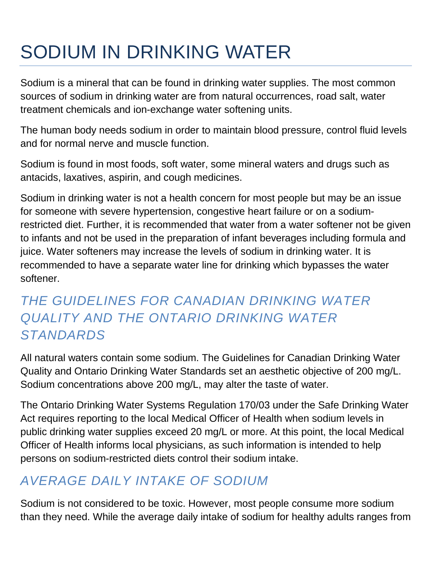# SODIUM IN DRINKING WATER

Sodium is a mineral that can be found in drinking water supplies. The most common sources of sodium in drinking water are from natural occurrences, road salt, water treatment chemicals and ion-exchange water softening units.

The human body needs sodium in order to maintain blood pressure, control fluid levels and for normal nerve and muscle function.

Sodium is found in most foods, soft water, some mineral waters and drugs such as antacids, laxatives, aspirin, and cough medicines.

Sodium in drinking water is not a health concern for most people but may be an issue for someone with severe hypertension, congestive heart failure or on a sodiumrestricted diet. Further, it is recommended that water from a water softener not be given to infants and not be used in the preparation of infant beverages including formula and juice. Water softeners may increase the levels of sodium in drinking water. It is recommended to have a separate water line for drinking which bypasses the water softener.

# *THE GUIDELINES FOR CANADIAN DRINKING WATER QUALITY AND THE ONTARIO DRINKING WATER STANDARDS*

All natural waters contain some sodium. The Guidelines for Canadian Drinking Water Quality and Ontario Drinking Water Standards set an aesthetic objective of 200 mg/L. Sodium concentrations above 200 mg/L, may alter the taste of water.

The Ontario Drinking Water Systems Regulation 170/03 under the Safe Drinking Water Act requires reporting to the local Medical Officer of Health when sodium levels in public drinking water supplies exceed 20 mg/L or more. At this point, the local Medical Officer of Health informs local physicians, as such information is intended to help persons on sodium-restricted diets control their sodium intake.

## *AVERAGE DAILY INTAKE OF SODIUM*

Sodium is not considered to be toxic. However, most people consume more sodium than they need. While the average daily intake of sodium for healthy adults ranges from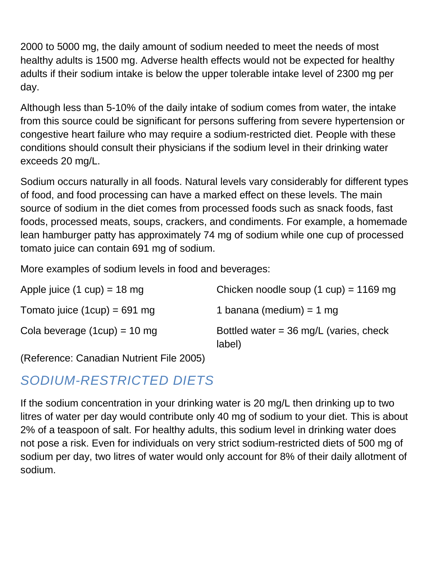2000 to 5000 mg, the daily amount of sodium needed to meet the needs of most healthy adults is 1500 mg. Adverse health effects would not be expected for healthy adults if their sodium intake is below the upper tolerable intake level of 2300 mg per day.

Although less than 5-10% of the daily intake of sodium comes from water, the intake from this source could be significant for persons suffering from severe hypertension or congestive heart failure who may require a sodium-restricted diet. People with these conditions should consult their physicians if the sodium level in their drinking water exceeds 20 mg/L.

Sodium occurs naturally in all foods. Natural levels vary considerably for different types of food, and food processing can have a marked effect on these levels. The main source of sodium in the diet comes from processed foods such as snack foods, fast foods, processed meats, soups, crackers, and condiments. For example, a homemade lean hamburger patty has approximately 74 mg of sodium while one cup of processed tomato juice can contain 691 mg of sodium.

More examples of sodium levels in food and beverages:

| Apple juice $(1 cup) = 18 mg$  | Chicken noodle soup $(1 \text{ cup}) = 1169 \text{ mg}$    |
|--------------------------------|------------------------------------------------------------|
| Tomato juice $(1cup) = 691$ mg | 1 banana (medium) = 1 mg                                   |
| Cola beverage $(1cup) = 10$ mg | Bottled water = $36 \text{ mg/L}$ (varies, check<br>label) |

(Reference: Canadian Nutrient File 2005)

#### *SODIUM-RESTRICTED DIETS*

If the sodium concentration in your drinking water is 20 mg/L then drinking up to two litres of water per day would contribute only 40 mg of sodium to your diet. This is about 2% of a teaspoon of salt. For healthy adults, this sodium level in drinking water does not pose a risk. Even for individuals on very strict sodium-restricted diets of 500 mg of sodium per day, two litres of water would only account for 8% of their daily allotment of sodium.